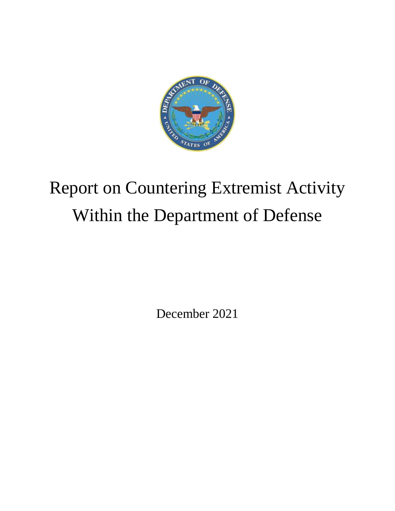

# Report on Countering Extremist Activity Within the Department of Defense

December 2021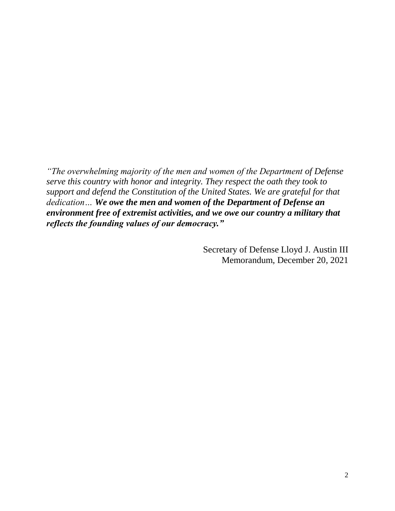*"The overwhelming majority of the men and women of the Department of Defense serve this country with honor and integrity. They respect the oath they took to support and defend the Constitution of the United States. We are grateful for that dedication… We owe the men and women of the Department of Defense an environment free of extremist activities, and we owe our country a military that reflects the founding values of our democracy."*

> Secretary of Defense Lloyd J. Austin III Memorandum, December 20, 2021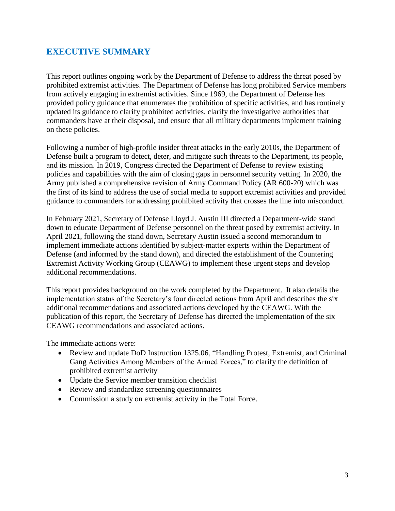# **EXECUTIVE SUMMARY**

This report outlines ongoing work by the Department of Defense to address the threat posed by prohibited extremist activities. The Department of Defense has long prohibited Service members from actively engaging in extremist activities. Since 1969, the Department of Defense has provided policy guidance that enumerates the prohibition of specific activities, and has routinely updated its guidance to clarify prohibited activities, clarify the investigative authorities that commanders have at their disposal, and ensure that all military departments implement training on these policies.

Following a number of high-profile insider threat attacks in the early 2010s, the Department of Defense built a program to detect, deter, and mitigate such threats to the Department, its people, and its mission. In 2019, Congress directed the Department of Defense to review existing policies and capabilities with the aim of closing gaps in personnel security vetting. In 2020, the Army published a comprehensive revision of Army Command Policy (AR 600-20) which was the first of its kind to address the use of social media to support extremist activities and provided guidance to commanders for addressing prohibited activity that crosses the line into misconduct.

In February 2021, Secretary of Defense Lloyd J. Austin III directed a Department-wide stand down to educate Department of Defense personnel on the threat posed by extremist activity. In April 2021, following the stand down, Secretary Austin issued a second memorandum to implement immediate actions identified by subject-matter experts within the Department of Defense (and informed by the stand down), and directed the establishment of the Countering Extremist Activity Working Group (CEAWG) to implement these urgent steps and develop additional recommendations.

This report provides background on the work completed by the Department. It also details the implementation status of the Secretary's four directed actions from April and describes the six additional recommendations and associated actions developed by the CEAWG. With the publication of this report, the Secretary of Defense has directed the implementation of the six CEAWG recommendations and associated actions.

The immediate actions were:

- Review and update DoD Instruction 1325.06, "Handling Protest, Extremist, and Criminal Gang Activities Among Members of the Armed Forces," to clarify the definition of prohibited extremist activity
- Update the Service member transition checklist
- Review and standardize screening questionnaires
- Commission a study on extremist activity in the Total Force.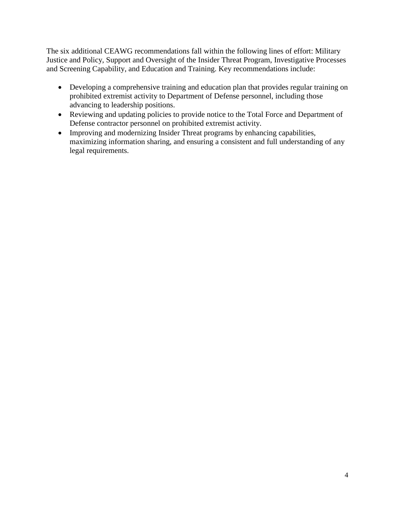The six additional CEAWG recommendations fall within the following lines of effort: Military Justice and Policy, Support and Oversight of the Insider Threat Program, Investigative Processes and Screening Capability, and Education and Training. Key recommendations include:

- Developing a comprehensive training and education plan that provides regular training on prohibited extremist activity to Department of Defense personnel, including those advancing to leadership positions.
- Reviewing and updating policies to provide notice to the Total Force and Department of Defense contractor personnel on prohibited extremist activity.
- Improving and modernizing Insider Threat programs by enhancing capabilities, maximizing information sharing, and ensuring a consistent and full understanding of any legal requirements.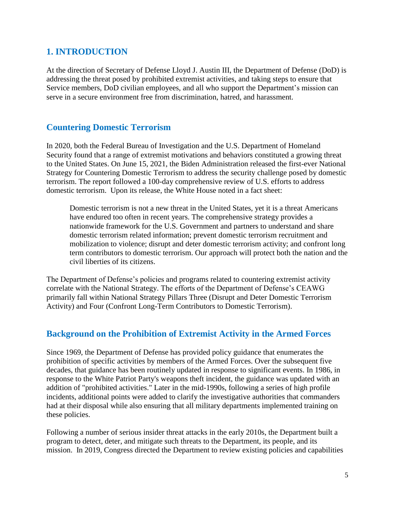## **1. INTRODUCTION**

At the direction of Secretary of Defense Lloyd J. Austin III, the Department of Defense (DoD) is addressing the threat posed by prohibited extremist activities, and taking steps to ensure that Service members, DoD civilian employees, and all who support the Department's mission can serve in a secure environment free from discrimination, hatred, and harassment.

## **Countering Domestic Terrorism**

In 2020, both the Federal Bureau of Investigation and the U.S. Department of Homeland Security found that a range of extremist motivations and behaviors constituted a growing threat to the United States. On June 15, 2021, the Biden Administration released the first-ever National Strategy for Countering Domestic Terrorism to address the security challenge posed by domestic terrorism. The report followed a 100-day comprehensive review of U.S. efforts to address domestic terrorism. Upon its release, the White House noted in a fact sheet:

Domestic terrorism is not a new threat in the United States, yet it is a threat Americans have endured too often in recent years. The comprehensive strategy provides a nationwide framework for the U.S. Government and partners to understand and share domestic terrorism related information; prevent domestic terrorism recruitment and mobilization to violence; disrupt and deter domestic terrorism activity; and confront long term contributors to domestic terrorism. Our approach will protect both the nation and the civil liberties of its citizens.

The Department of Defense's policies and programs related to countering extremist activity correlate with the National Strategy. The efforts of the Department of Defense's CEAWG primarily fall within National Strategy Pillars Three (Disrupt and Deter Domestic Terrorism Activity) and Four (Confront Long-Term Contributors to Domestic Terrorism).

## **Background on the Prohibition of Extremist Activity in the Armed Forces**

Since 1969, the Department of Defense has provided policy guidance that enumerates the prohibition of specific activities by members of the Armed Forces. Over the subsequent five decades, that guidance has been routinely updated in response to significant events. In 1986, in response to the White Patriot Party's weapons theft incident, the guidance was updated with an addition of "prohibited activities." Later in the mid-1990s, following a series of high profile incidents, additional points were added to clarify the investigative authorities that commanders had at their disposal while also ensuring that all military departments implemented training on these policies.

Following a number of serious insider threat attacks in the early 2010s, the Department built a program to detect, deter, and mitigate such threats to the Department, its people, and its mission. In 2019, Congress directed the Department to review existing policies and capabilities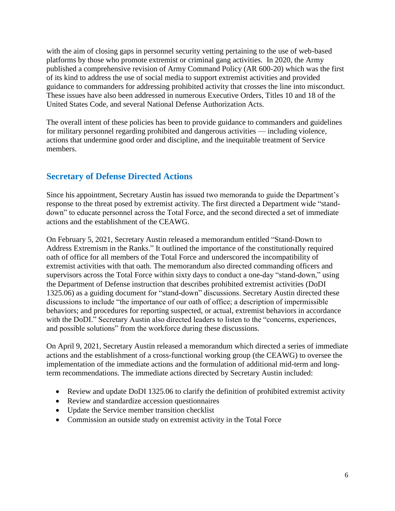with the aim of closing gaps in personnel security vetting pertaining to the use of web-based platforms by those who promote extremist or criminal gang activities. In 2020, the Army published a comprehensive revision of Army Command Policy (AR 600-20) which was the first of its kind to address the use of social media to support extremist activities and provided guidance to commanders for addressing prohibited activity that crosses the line into misconduct. These issues have also been addressed in numerous Executive Orders, Titles 10 and 18 of the United States Code, and several National Defense Authorization Acts.

The overall intent of these policies has been to provide guidance to commanders and guidelines for military personnel regarding prohibited and dangerous activities — including violence, actions that undermine good order and discipline, and the inequitable treatment of Service members.

## **Secretary of Defense Directed Actions**

Since his appointment, Secretary Austin has issued two memoranda to guide the Department's response to the threat posed by extremist activity. The first directed a Department wide "standdown" to educate personnel across the Total Force, and the second directed a set of immediate actions and the establishment of the CEAWG.

On February 5, 2021, Secretary Austin released a memorandum entitled "Stand-Down to Address Extremism in the Ranks." It outlined the importance of the constitutionally required oath of office for all members of the Total Force and underscored the incompatibility of extremist activities with that oath. The memorandum also directed commanding officers and supervisors across the Total Force within sixty days to conduct a one-day "stand-down," using the Department of Defense instruction that describes prohibited extremist activities (DoDI 1325.06) as a guiding document for "stand-down" discussions. Secretary Austin directed these discussions to include "the importance of our oath of office; a description of impermissible behaviors; and procedures for reporting suspected, or actual, extremist behaviors in accordance with the DoDI." Secretary Austin also directed leaders to listen to the "concerns, experiences, and possible solutions" from the workforce during these discussions.

On April 9, 2021, Secretary Austin released a memorandum which directed a series of immediate actions and the establishment of a cross-functional working group (the CEAWG) to oversee the implementation of the immediate actions and the formulation of additional mid-term and longterm recommendations. The immediate actions directed by Secretary Austin included:

- Review and update DoDI 1325.06 to clarify the definition of prohibited extremist activity
- Review and standardize accession questionnaires
- Update the Service member transition checklist
- Commission an outside study on extremist activity in the Total Force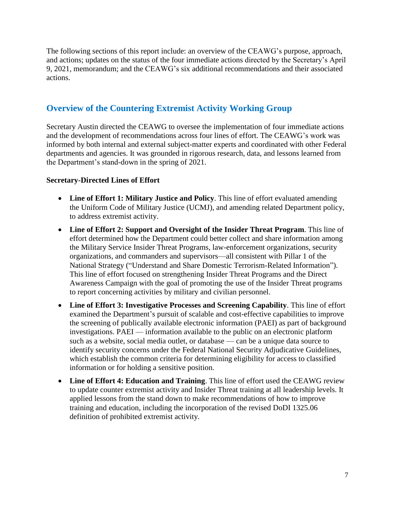The following sections of this report include: an overview of the CEAWG's purpose, approach, and actions; updates on the status of the four immediate actions directed by the Secretary's April 9, 2021, memorandum; and the CEAWG's six additional recommendations and their associated actions.

## **Overview of the Countering Extremist Activity Working Group**

Secretary Austin directed the CEAWG to oversee the implementation of four immediate actions and the development of recommendations across four lines of effort. The CEAWG's work was informed by both internal and external subject-matter experts and coordinated with other Federal departments and agencies. It was grounded in rigorous research, data, and lessons learned from the Department's stand-down in the spring of 2021.

#### **Secretary-Directed Lines of Effort**

- **Line of Effort 1: Military Justice and Policy**. This line of effort evaluated amending the Uniform Code of Military Justice (UCMJ), and amending related Department policy, to address extremist activity.
- **Line of Effort 2: Support and Oversight of the Insider Threat Program**. This line of effort determined how the Department could better collect and share information among the Military Service Insider Threat Programs, law-enforcement organizations, security organizations, and commanders and supervisors—all consistent with Pillar 1 of the National Strategy ("Understand and Share Domestic Terrorism-Related Information"). This line of effort focused on strengthening Insider Threat Programs and the Direct Awareness Campaign with the goal of promoting the use of the Insider Threat programs to report concerning activities by military and civilian personnel.
- **Line of Effort 3: Investigative Processes and Screening Capability**. This line of effort examined the Department's pursuit of scalable and cost-effective capabilities to improve the screening of publically available electronic information (PAEI) as part of background investigations. PAEI — information available to the public on an electronic platform such as a website, social media outlet, or database — can be a unique data source to identify security concerns under the Federal National Security Adjudicative Guidelines, which establish the common criteria for determining eligibility for access to classified information or for holding a sensitive position.
- **Line of Effort 4: Education and Training**. This line of effort used the CEAWG review to update counter extremist activity and Insider Threat training at all leadership levels. It applied lessons from the stand down to make recommendations of how to improve training and education, including the incorporation of the revised DoDI 1325.06 definition of prohibited extremist activity.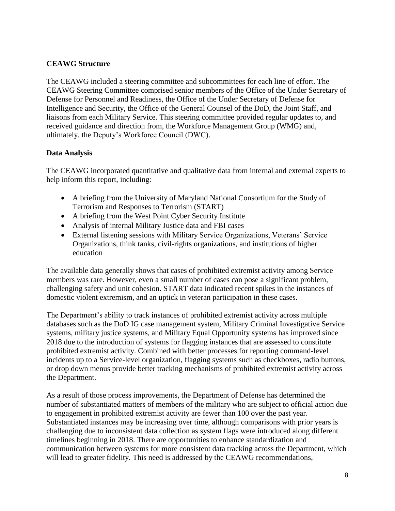## **CEAWG Structure**

The CEAWG included a steering committee and subcommittees for each line of effort. The CEAWG Steering Committee comprised senior members of the Office of the Under Secretary of Defense for Personnel and Readiness, the Office of the Under Secretary of Defense for Intelligence and Security, the Office of the General Counsel of the DoD, the Joint Staff, and liaisons from each Military Service. This steering committee provided regular updates to, and received guidance and direction from, the Workforce Management Group (WMG) and, ultimately, the Deputy's Workforce Council (DWC).

## **Data Analysis**

The CEAWG incorporated quantitative and qualitative data from internal and external experts to help inform this report, including:

- A briefing from the University of Maryland National Consortium for the Study of Terrorism and Responses to Terrorism (START)
- A briefing from the West Point Cyber Security Institute
- Analysis of internal Military Justice data and FBI cases
- External listening sessions with Military Service Organizations, Veterans' Service Organizations, think tanks, civil-rights organizations, and institutions of higher education

The available data generally shows that cases of prohibited extremist activity among Service members was rare. However, even a small number of cases can pose a significant problem, challenging safety and unit cohesion. START data indicated recent spikes in the instances of domestic violent extremism, and an uptick in veteran participation in these cases.

The Department's ability to track instances of prohibited extremist activity across multiple databases such as the DoD IG case management system, Military Criminal Investigative Service systems, military justice systems, and Military Equal Opportunity systems has improved since 2018 due to the introduction of systems for flagging instances that are assessed to constitute prohibited extremist activity. Combined with better processes for reporting command-level incidents up to a Service-level organization, flagging systems such as checkboxes, radio buttons, or drop down menus provide better tracking mechanisms of prohibited extremist activity across the Department.

As a result of those process improvements, the Department of Defense has determined the number of substantiated matters of members of the military who are subject to official action due to engagement in prohibited extremist activity are fewer than 100 over the past year. Substantiated instances may be increasing over time, although comparisons with prior years is challenging due to inconsistent data collection as system flags were introduced along different timelines beginning in 2018. There are opportunities to enhance standardization and communication between systems for more consistent data tracking across the Department, which will lead to greater fidelity. This need is addressed by the CEAWG recommendations,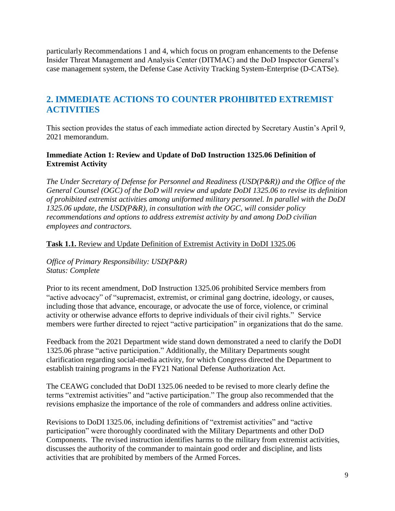particularly Recommendations 1 and 4, which focus on program enhancements to the Defense Insider Threat Management and Analysis Center (DITMAC) and the DoD Inspector General's case management system, the Defense Case Activity Tracking System-Enterprise (D-CATSe).

# **2. IMMEDIATE ACTIONS TO COUNTER PROHIBITED EXTREMIST ACTIVITIES**

This section provides the status of each immediate action directed by Secretary Austin's April 9, 2021 memorandum.

#### **Immediate Action 1: Review and Update of DoD Instruction 1325.06 Definition of Extremist Activity**

*The Under Secretary of Defense for Personnel and Readiness (USD(P&R)) and the Office of the General Counsel (OGC) of the DoD will review and update DoDI 1325.06 to revise its definition of prohibited extremist activities among uniformed military personnel. In parallel with the DoDI 1325.06 update, the USD(P&R), in consultation with the OGC, will consider policy recommendations and options to address extremist activity by and among DoD civilian employees and contractors.*

#### **Task 1.1.** Review and Update Definition of Extremist Activity in DoDI 1325.06

*Office of Primary Responsibility: USD(P&R) Status: Complete*

Prior to its recent amendment, DoD Instruction 1325.06 prohibited Service members from "active advocacy" of "supremacist, extremist, or criminal gang doctrine, ideology, or causes, including those that advance, encourage, or advocate the use of force, violence, or criminal activity or otherwise advance efforts to deprive individuals of their civil rights." Service members were further directed to reject "active participation" in organizations that do the same.

Feedback from the 2021 Department wide stand down demonstrated a need to clarify the DoDI 1325.06 phrase "active participation." Additionally, the Military Departments sought clarification regarding social-media activity, for which Congress directed the Department to establish training programs in the FY21 National Defense Authorization Act.

The CEAWG concluded that DoDI 1325.06 needed to be revised to more clearly define the terms "extremist activities" and "active participation." The group also recommended that the revisions emphasize the importance of the role of commanders and address online activities.

Revisions to DoDI 1325.06, including definitions of "extremist activities" and "active participation" were thoroughly coordinated with the Military Departments and other DoD Components. The revised instruction identifies harms to the military from extremist activities, discusses the authority of the commander to maintain good order and discipline, and lists activities that are prohibited by members of the Armed Forces.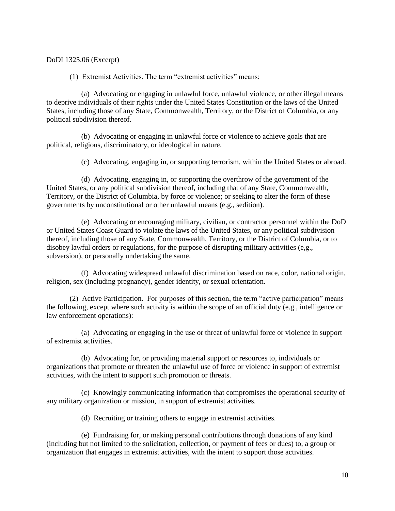DoDI 1325.06 (Excerpt)

(1) Extremist Activities. The term "extremist activities" means:

(a) Advocating or engaging in unlawful force, unlawful violence, or other illegal means to deprive individuals of their rights under the United States Constitution or the laws of the United States, including those of any State, Commonwealth, Territory, or the District of Columbia, or any political subdivision thereof.

(b) Advocating or engaging in unlawful force or violence to achieve goals that are political, religious, discriminatory, or ideological in nature.

(c) Advocating, engaging in, or supporting terrorism, within the United States or abroad.

(d) Advocating, engaging in, or supporting the overthrow of the government of the United States, or any political subdivision thereof, including that of any State, Commonwealth, Territory, or the District of Columbia, by force or violence; or seeking to alter the form of these governments by unconstitutional or other unlawful means (e.g., sedition).

(e) Advocating or encouraging military, civilian, or contractor personnel within the DoD or United States Coast Guard to violate the laws of the United States, or any political subdivision thereof, including those of any State, Commonwealth, Territory, or the District of Columbia, or to disobey lawful orders or regulations, for the purpose of disrupting military activities (e,g., subversion), or personally undertaking the same.

(f) Advocating widespread unlawful discrimination based on race, color, national origin, religion, sex (including pregnancy), gender identity, or sexual orientation.

(2) Active Participation. For purposes of this section, the term "active participation" means the following, except where such activity is within the scope of an official duty (e.g., intelligence or law enforcement operations):

(a) Advocating or engaging in the use or threat of unlawful force or violence in support of extremist activities.

(b) Advocating for, or providing material support or resources to, individuals or organizations that promote or threaten the unlawful use of force or violence in support of extremist activities, with the intent to support such promotion or threats.

(c) Knowingly communicating information that compromises the operational security of any military organization or mission, in support of extremist activities.

(d) Recruiting or training others to engage in extremist activities.

(e) Fundraising for, or making personal contributions through donations of any kind (including but not limited to the solicitation, collection, or payment of fees or dues) to, a group or organization that engages in extremist activities, with the intent to support those activities.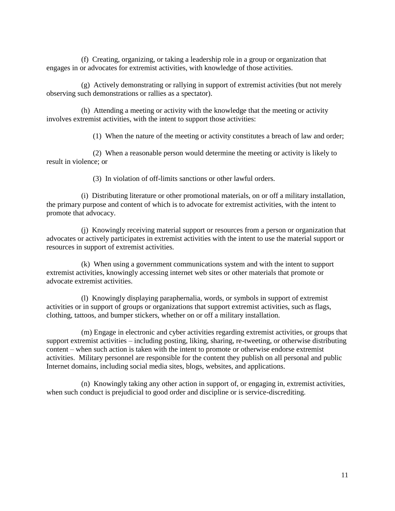(f) Creating, organizing, or taking a leadership role in a group or organization that engages in or advocates for extremist activities, with knowledge of those activities.

(g) Actively demonstrating or rallying in support of extremist activities (but not merely observing such demonstrations or rallies as a spectator).

(h) Attending a meeting or activity with the knowledge that the meeting or activity involves extremist activities, with the intent to support those activities:

(1) When the nature of the meeting or activity constitutes a breach of law and order;

(2) When a reasonable person would determine the meeting or activity is likely to result in violence; or

(3) In violation of off-limits sanctions or other lawful orders.

(i) Distributing literature or other promotional materials, on or off a military installation, the primary purpose and content of which is to advocate for extremist activities, with the intent to promote that advocacy.

(j) Knowingly receiving material support or resources from a person or organization that advocates or actively participates in extremist activities with the intent to use the material support or resources in support of extremist activities.

(k) When using a government communications system and with the intent to support extremist activities, knowingly accessing internet web sites or other materials that promote or advocate extremist activities.

(l) Knowingly displaying paraphernalia, words, or symbols in support of extremist activities or in support of groups or organizations that support extremist activities, such as flags, clothing, tattoos, and bumper stickers, whether on or off a military installation.

(m) Engage in electronic and cyber activities regarding extremist activities, or groups that support extremist activities – including posting, liking, sharing, re-tweeting, or otherwise distributing content – when such action is taken with the intent to promote or otherwise endorse extremist activities. Military personnel are responsible for the content they publish on all personal and public Internet domains, including social media sites, blogs, websites, and applications.

(n) Knowingly taking any other action in support of, or engaging in, extremist activities, when such conduct is prejudicial to good order and discipline or is service-discrediting.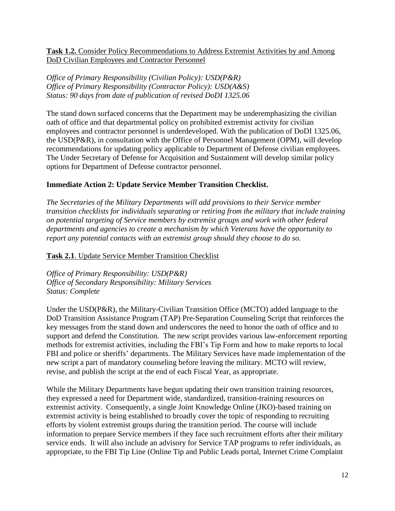**Task 1.2.** Consider Policy Recommendations to Address Extremist Activities by and Among DoD Civilian Employees and Contractor Personnel

*Office of Primary Responsibility (Civilian Policy): USD(P&R) Office of Primary Responsibility (Contractor Policy): USD(A&S) Status: 90 days from date of publication of revised DoDI 1325.06*

The stand down surfaced concerns that the Department may be underemphasizing the civilian oath of office and that departmental policy on prohibited extremist activity for civilian employees and contractor personnel is underdeveloped. With the publication of DoDI 1325.06, the USD(P&R), in consultation with the Office of Personnel Management (OPM), will develop recommendations for updating policy applicable to Department of Defense civilian employees. The Under Secretary of Defense for Acquisition and Sustainment will develop similar policy options for Department of Defense contractor personnel.

#### **Immediate Action 2: Update Service Member Transition Checklist.**

*The Secretaries of the Military Departments will add provisions to their Service member transition checklists for individuals separating or retiring from the military that include training on potential targeting of Service members by extremist groups and work with other federal departments and agencies to create a mechanism by which Veterans have the opportunity to report any potential contacts with an extremist group should they choose to do so.*

**Task 2.1**. Update Service Member Transition Checklist

*Office of Primary Responsibility: USD(P&R) Office of Secondary Responsibility: Military Services Status: Complete*

Under the USD(P&R), the Military-Civilian Transition Office (MCTO) added language to the DoD Transition Assistance Program (TAP) Pre-Separation Counseling Script that reinforces the key messages from the stand down and underscores the need to honor the oath of office and to support and defend the Constitution. The new script provides various law-enforcement reporting methods for extremist activities, including the FBI's Tip Form and how to make reports to local FBI and police or sheriffs' departments. The Military Services have made implementation of the new script a part of mandatory counseling before leaving the military. MCTO will review, revise, and publish the script at the end of each Fiscal Year, as appropriate.

While the Military Departments have begun updating their own transition training resources, they expressed a need for Department wide, standardized, transition-training resources on extremist activity. Consequently, a single Joint Knowledge Online (JKO)-based training on extremist activity is being established to broadly cover the topic of responding to recruiting efforts by violent extremist groups during the transition period. The course will include information to prepare Service members if they face such recruitment efforts after their military service ends. It will also include an advisory for Service TAP programs to refer individuals, as appropriate, to the FBI Tip Line (Online Tip and Public Leads portal, Internet Crime Complaint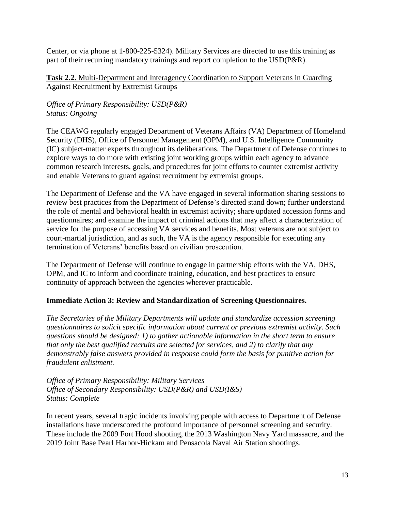Center, or via phone at 1-800-225-5324). Military Services are directed to use this training as part of their recurring mandatory trainings and report completion to the USD(P&R).

#### **Task 2.2.** Multi-Department and Interagency Coordination to Support Veterans in Guarding Against Recruitment by Extremist Groups

*Office of Primary Responsibility: USD(P&R) Status: Ongoing*

The CEAWG regularly engaged Department of Veterans Affairs (VA) Department of Homeland Security (DHS), Office of Personnel Management (OPM), and U.S. Intelligence Community (IC) subject-matter experts throughout its deliberations. The Department of Defense continues to explore ways to do more with existing joint working groups within each agency to advance common research interests, goals, and procedures for joint efforts to counter extremist activity and enable Veterans to guard against recruitment by extremist groups.

The Department of Defense and the VA have engaged in several information sharing sessions to review best practices from the Department of Defense's directed stand down; further understand the role of mental and behavioral health in extremist activity; share updated accession forms and questionnaires; and examine the impact of criminal actions that may affect a characterization of service for the purpose of accessing VA services and benefits. Most veterans are not subject to court-martial jurisdiction, and as such, the VA is the agency responsible for executing any termination of Veterans' benefits based on civilian prosecution.

The Department of Defense will continue to engage in partnership efforts with the VA, DHS, OPM, and IC to inform and coordinate training, education, and best practices to ensure continuity of approach between the agencies wherever practicable.

#### **Immediate Action 3: Review and Standardization of Screening Questionnaires.**

*The Secretaries of the Military Departments will update and standardize accession screening questionnaires to solicit specific information about current or previous extremist activity. Such questions should be designed: 1) to gather actionable information in the short term to ensure that only the best qualified recruits are selected for services, and 2) to clarify that any demonstrably false answers provided in response could form the basis for punitive action for fraudulent enlistment.*

*Office of Primary Responsibility: Military Services Office of Secondary Responsibility: USD(P&R) and USD(I&S) Status: Complete*

In recent years, several tragic incidents involving people with access to Department of Defense installations have underscored the profound importance of personnel screening and security. These include the 2009 Fort Hood shooting, the 2013 Washington Navy Yard massacre, and the 2019 Joint Base Pearl Harbor-Hickam and Pensacola Naval Air Station shootings.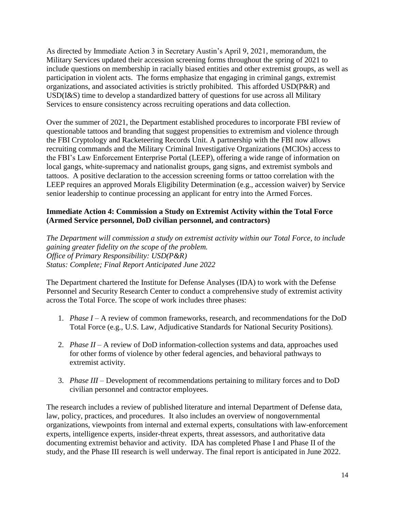As directed by Immediate Action 3 in Secretary Austin's April 9, 2021, memorandum, the Military Services updated their accession screening forms throughout the spring of 2021 to include questions on membership in racially biased entities and other extremist groups, as well as participation in violent acts. The forms emphasize that engaging in criminal gangs, extremist organizations, and associated activities is strictly prohibited. This afforded USD(P&R) and USD(I&S) time to develop a standardized battery of questions for use across all Military Services to ensure consistency across recruiting operations and data collection.

Over the summer of 2021, the Department established procedures to incorporate FBI review of questionable tattoos and branding that suggest propensities to extremism and violence through the FBI Cryptology and Racketeering Records Unit. A partnership with the FBI now allows recruiting commands and the Military Criminal Investigative Organizations (MCIOs) access to the FBI's Law Enforcement Enterprise Portal (LEEP), offering a wide range of information on local gangs, white-supremacy and nationalist groups, gang signs, and extremist symbols and tattoos. A positive declaration to the accession screening forms or tattoo correlation with the LEEP requires an approved Morals Eligibility Determination (e.g., accession waiver) by Service senior leadership to continue processing an applicant for entry into the Armed Forces.

### **Immediate Action 4: Commission a Study on Extremist Activity within the Total Force (Armed Service personnel, DoD civilian personnel, and contractors)**

*The Department will commission a study on extremist activity within our Total Force, to include gaining greater fidelity on the scope of the problem. Office of Primary Responsibility: USD(P&R) Status: Complete; Final Report Anticipated June 2022*

The Department chartered the Institute for Defense Analyses (IDA) to work with the Defense Personnel and Security Research Center to conduct a comprehensive study of extremist activity across the Total Force. The scope of work includes three phases:

- 1. *Phase I –* A review of common frameworks, research, and recommendations for the DoD Total Force (e.g., U.S. Law, Adjudicative Standards for National Security Positions).
- 2. *Phase II* A review of DoD information-collection systems and data, approaches used for other forms of violence by other federal agencies, and behavioral pathways to extremist activity.
- 3. *Phase III* Development of recommendations pertaining to military forces and to DoD civilian personnel and contractor employees.

The research includes a review of published literature and internal Department of Defense data, law, policy, practices, and procedures. It also includes an overview of nongovernmental organizations, viewpoints from internal and external experts, consultations with law-enforcement experts, intelligence experts, insider-threat experts, threat assessors, and authoritative data documenting extremist behavior and activity. IDA has completed Phase I and Phase II of the study, and the Phase III research is well underway. The final report is anticipated in June 2022.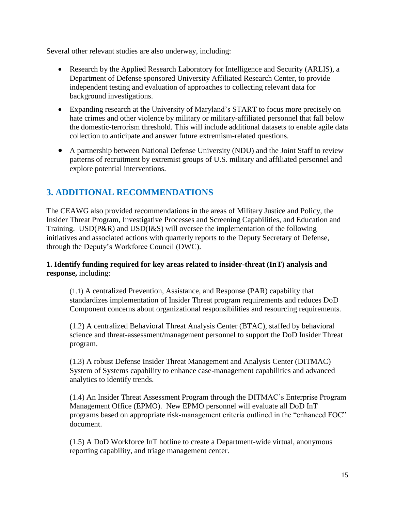Several other relevant studies are also underway, including:

- Research by the Applied Research Laboratory for Intelligence and Security (ARLIS), a Department of Defense sponsored University Affiliated Research Center, to provide independent testing and evaluation of approaches to collecting relevant data for background investigations.
- Expanding research at the University of Maryland's START to focus more precisely on hate crimes and other violence by military or military-affiliated personnel that fall below the domestic-terrorism threshold. This will include additional datasets to enable agile data collection to anticipate and answer future extremism-related questions.
- A partnership between National Defense University (NDU) and the Joint Staff to review patterns of recruitment by extremist groups of U.S. military and affiliated personnel and explore potential interventions.

# **3. ADDITIONAL RECOMMENDATIONS**

The CEAWG also provided recommendations in the areas of Military Justice and Policy, the Insider Threat Program, Investigative Processes and Screening Capabilities, and Education and Training. USD(P&R) and USD(I&S) will oversee the implementation of the following initiatives and associated actions with quarterly reports to the Deputy Secretary of Defense, through the Deputy's Workforce Council (DWC).

**1. Identify funding required for key areas related to insider-threat (InT) analysis and response,** including:

(1.1) A centralized Prevention, Assistance, and Response (PAR) capability that standardizes implementation of Insider Threat program requirements and reduces DoD Component concerns about organizational responsibilities and resourcing requirements.

(1.2) A centralized Behavioral Threat Analysis Center (BTAC), staffed by behavioral science and threat-assessment/management personnel to support the DoD Insider Threat program.

(1.3) A robust Defense Insider Threat Management and Analysis Center (DITMAC) System of Systems capability to enhance case-management capabilities and advanced analytics to identify trends.

(1.4) An Insider Threat Assessment Program through the DITMAC's Enterprise Program Management Office (EPMO). New EPMO personnel will evaluate all DoD InT programs based on appropriate risk-management criteria outlined in the "enhanced FOC" document.

(1.5) A DoD Workforce InT hotline to create a Department-wide virtual, anonymous reporting capability, and triage management center.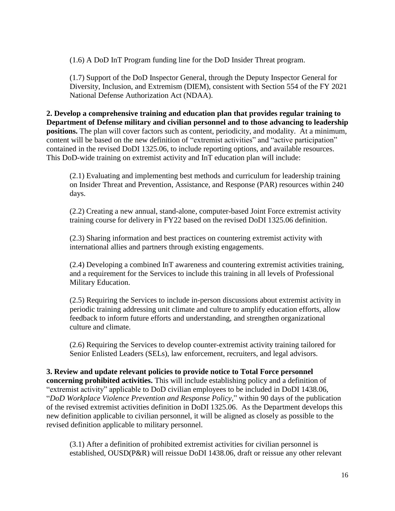(1.6) A DoD InT Program funding line for the DoD Insider Threat program.

(1.7) Support of the DoD Inspector General, through the Deputy Inspector General for Diversity, Inclusion, and Extremism (DIEM), consistent with Section 554 of the FY 2021 National Defense Authorization Act (NDAA).

**2. Develop a comprehensive training and education plan that provides regular training to Department of Defense military and civilian personnel and to those advancing to leadership positions.** The plan will cover factors such as content, periodicity, and modality. At a minimum, content will be based on the new definition of "extremist activities" and "active participation" contained in the revised DoDI 1325.06, to include reporting options, and available resources. This DoD-wide training on extremist activity and InT education plan will include:

(2.1) Evaluating and implementing best methods and curriculum for leadership training on Insider Threat and Prevention, Assistance, and Response (PAR) resources within 240 days.

(2.2) Creating a new annual, stand-alone, computer-based Joint Force extremist activity training course for delivery in FY22 based on the revised DoDI 1325.06 definition.

(2.3) Sharing information and best practices on countering extremist activity with international allies and partners through existing engagements.

(2.4) Developing a combined InT awareness and countering extremist activities training, and a requirement for the Services to include this training in all levels of Professional Military Education.

(2.5) Requiring the Services to include in-person discussions about extremist activity in periodic training addressing unit climate and culture to amplify education efforts, allow feedback to inform future efforts and understanding, and strengthen organizational culture and climate.

(2.6) Requiring the Services to develop counter-extremist activity training tailored for Senior Enlisted Leaders (SELs), law enforcement, recruiters, and legal advisors.

**3. Review and update relevant policies to provide notice to Total Force personnel concerning prohibited activities.** This will include establishing policy and a definition of "extremist activity" applicable to DoD civilian employees to be included in DoDI 1438.06, "*DoD Workplace Violence Prevention and Response Policy,*" within 90 days of the publication of the revised extremist activities definition in DoDI 1325.06. As the Department develops this new definition applicable to civilian personnel, it will be aligned as closely as possible to the revised definition applicable to military personnel.

(3.1) After a definition of prohibited extremist activities for civilian personnel is established, OUSD(P&R) will reissue DoDI 1438.06, draft or reissue any other relevant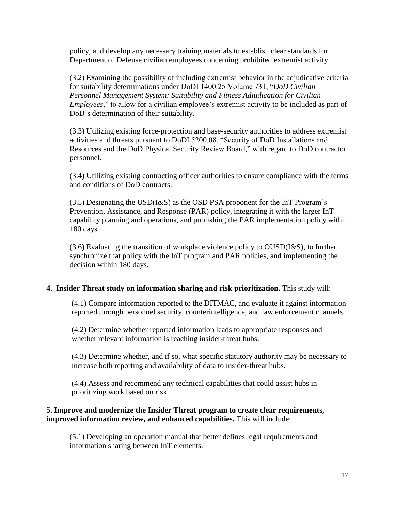policy, and develop any necessary training materials to establish clear standards for Department of Defense civilian employees concerning prohibited extremist activity.

(3.2) Examining the possibility of including extremist behavior in the adjudicative criteria for suitability determinations under DoDI 1400.25 Volume 731, "*DoD Civilian Personnel Management System: Suitability and Fitness Adjudication for Civilian Employees*," to allow for a civilian employee's extremist activity to be included as part of DoD's determination of their suitability.

(3.3) Utilizing existing force-protection and base-security authorities to address extremist activities and threats pursuant to DoDI 5200.08, "Security of DoD Installations and Resources and the DoD Physical Security Review Board," with regard to DoD contractor personnel.

(3.4) Utilizing existing contracting officer authorities to ensure compliance with the terms and conditions of DoD contracts.

(3.5) Designating the USD(I&S) as the OSD PSA proponent for the InT Program's Prevention, Assistance, and Response (PAR) policy, integrating it with the larger InT capability planning and operations, and publishing the PAR implementation policy within 180 days.

(3.6) Evaluating the transition of workplace violence policy to OUSD(I&S), to further synchronize that policy with the InT program and PAR policies, and implementing the decision within 180 days.

#### **4. Insider Threat study on information sharing and risk prioritization.** This study will:

(4.1) Compare information reported to the DITMAC, and evaluate it against information reported through personnel security, counterintelligence, and law enforcement channels.

(4.2) Determine whether reported information leads to appropriate responses and whether relevant information is reaching insider-threat hubs.

(4.3) Determine whether, and if so, what specific statutory authority may be necessary to increase both reporting and availability of data to insider-threat hubs.

(4.4) Assess and recommend any technical capabilities that could assist hubs in prioritizing work based on risk.

#### **5. Improve and modernize the Insider Threat program to create clear requirements, improved information review, and enhanced capabilities.** This will include:

(5.1) Developing an operation manual that better defines legal requirements and information sharing between InT elements.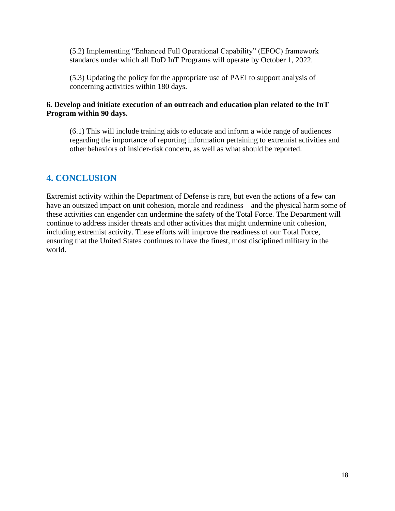(5.2) Implementing "Enhanced Full Operational Capability" (EFOC) framework standards under which all DoD InT Programs will operate by October 1, 2022.

(5.3) Updating the policy for the appropriate use of PAEI to support analysis of concerning activities within 180 days.

#### **6. Develop and initiate execution of an outreach and education plan related to the InT Program within 90 days.**

(6.1) This will include training aids to educate and inform a wide range of audiences regarding the importance of reporting information pertaining to extremist activities and other behaviors of insider-risk concern, as well as what should be reported.

# **4. CONCLUSION**

Extremist activity within the Department of Defense is rare, but even the actions of a few can have an outsized impact on unit cohesion, morale and readiness – and the physical harm some of these activities can engender can undermine the safety of the Total Force. The Department will continue to address insider threats and other activities that might undermine unit cohesion, including extremist activity. These efforts will improve the readiness of our Total Force, ensuring that the United States continues to have the finest, most disciplined military in the world.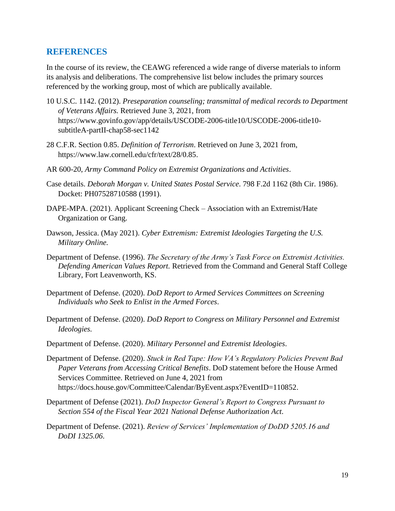#### **REFERENCES**

In the course of its review, the CEAWG referenced a wide range of diverse materials to inform its analysis and deliberations. The comprehensive list below includes the primary sources referenced by the working group, most of which are publically available.

- 10 U.S.C. 1142. (2012). *Preseparation counseling; transmittal of medical records to Department of Veterans Affairs.* Retrieved June 3, 2021, from https://www.govinfo.gov/app/details/USCODE-2006-title10/USCODE-2006-title10 subtitleA-partII-chap58-sec1142
- 28 C.F.R. Section 0.85. *Definition of Terrorism*. Retrieved on June 3, 2021 from, https://www.law.cornell.edu/cfr/text/28/0.85.
- AR 600-20, *Army Command Policy on Extremist Organizations and Activities*.
- Case details. *Deborah Morgan v. United States Postal Service*. 798 F.2d 1162 (8th Cir. 1986). Docket: PH07528710588 (1991).
- DAPE-MPA. (2021). Applicant Screening Check Association with an Extremist/Hate Organization or Gang.
- Dawson, Jessica. (May 2021). *Cyber Extremism: Extremist Ideologies Targeting the U.S. Military Online.*
- Department of Defense. (1996). *The Secretary of the Army's Task Force on Extremist Activities. Defending American Values Report.* Retrieved from the Command and General Staff College Library, Fort Leavenworth, KS.
- Department of Defense. (2020). *DoD Report to Armed Services Committees on Screening Individuals who Seek to Enlist in the Armed Forces*.
- Department of Defense. (2020). *DoD Report to Congress on Military Personnel and Extremist Ideologies.*
- Department of Defense. (2020). *Military Personnel and Extremist Ideologies*.
- Department of Defense. (2020). *Stuck in Red Tape: How VA's Regulatory Policies Prevent Bad Paper Veterans from Accessing Critical Benefits*. DoD statement before the House Armed Services Committee. Retrieved on June 4, 2021 from https://docs.house.gov/Committee/Calendar/ByEvent.aspx?EventID=110852.
- Department of Defense (2021). *DoD Inspector General's Report to Congress Pursuant to Section 554 of the Fiscal Year 2021 National Defense Authorization Act*.
- Department of Defense. (2021). *Review of Services' Implementation of DoDD 5205.16 and DoDI 1325.06*.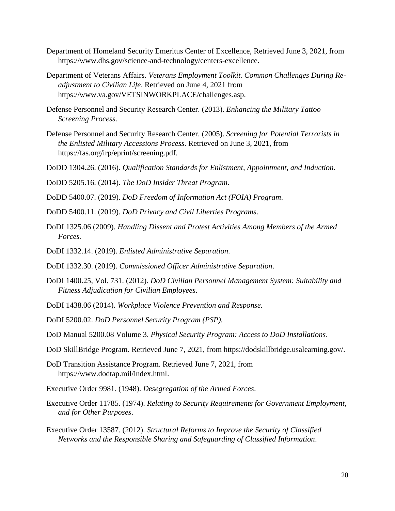- Department of Homeland Security Emeritus Center of Excellence, Retrieved June 3, 2021, from https://www.dhs.gov/science-and-technology/centers-excellence.
- Department of Veterans Affairs. *Veterans Employment Toolkit. Common Challenges During Readjustment to Civilian Life*. Retrieved on June 4, 2021 from https://www.va.gov/VETSINWORKPLACE/challenges.asp.
- Defense Personnel and Security Research Center. (2013). *Enhancing the Military Tattoo Screening Process*.
- Defense Personnel and Security Research Center. (2005). *Screening for Potential Terrorists in the Enlisted Military Accessions Process*. Retrieved on June 3, 2021, from https://fas.org/irp/eprint/screening.pdf.
- DoDD 1304.26. (2016). *Qualification Standards for Enlistment, Appointment, and Induction*.
- DoDD 5205.16. (2014). *The DoD Insider Threat Program*.
- DoDD 5400.07. (2019). *DoD Freedom of Information Act (FOIA) Program*.
- DoDD 5400.11. (2019). *DoD Privacy and Civil Liberties Programs*.
- DoDI 1325.06 (2009). *Handling Dissent and Protest Activities Among Members of the Armed Forces.*
- DoDI 1332.14. (2019). *Enlisted Administrative Separation.*
- DoDI 1332.30. (2019). *Commissioned Officer Administrative Separation*.
- DoDI 1400.25, Vol. 731. (2012). *DoD Civilian Personnel Management System: Suitability and Fitness Adjudication for Civilian Employees*.
- DoDI 1438.06 (2014). *Workplace Violence Prevention and Response.*
- DoDI 5200.02. *DoD Personnel Security Program (PSP).*
- DoD Manual 5200.08 Volume 3. *Physical Security Program: Access to DoD Installations*.
- DoD SkillBridge Program. Retrieved June 7, 2021, from https://dodskillbridge.usalearning.gov/.
- DoD Transition Assistance Program. Retrieved June 7, 2021, from https://www.dodtap.mil/index.html.
- Executive Order 9981. (1948). *Desegregation of the Armed Forces*.
- Executive Order 11785. (1974). *Relating to Security Requirements for Government Employment, and for Other Purposes*.
- Executive Order 13587. (2012). *Structural Reforms to Improve the Security of Classified Networks and the Responsible Sharing and Safeguarding of Classified Information*.